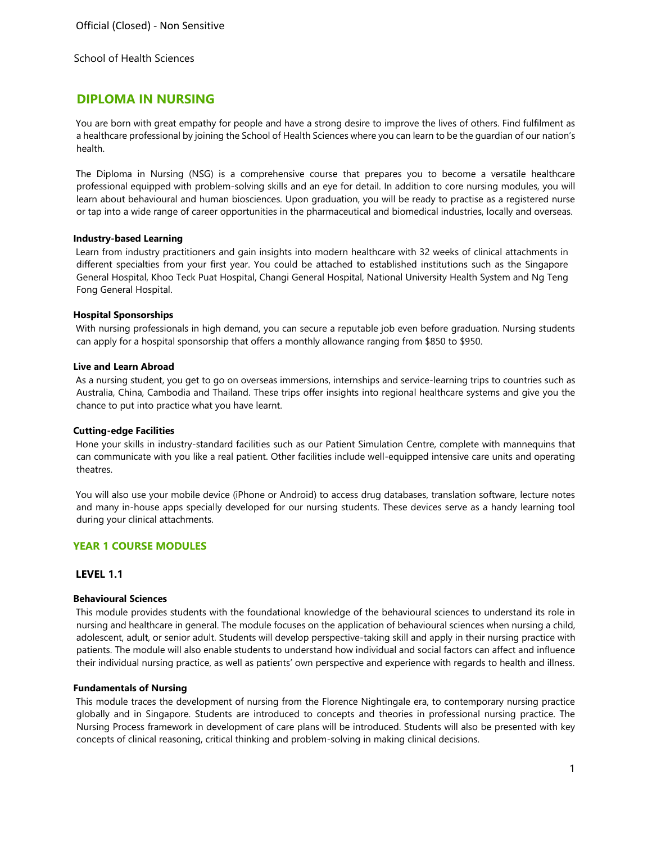# **DIPLOMA IN NURSING**

You are born with great empathy for people and have a strong desire to improve the lives of others. Find fulfilment as a healthcare professional by joining the School of Health Sciences where you can learn to be the guardian of our nation's health.

The Diploma in Nursing (NSG) is a comprehensive course that prepares you to become a versatile healthcare professional equipped with problem-solving skills and an eye for detail. In addition to core nursing modules, you will learn about behavioural and human biosciences. Upon graduation, you will be ready to practise as a registered nurse or tap into a wide range of career opportunities in the pharmaceutical and biomedical industries, locally and overseas.

## **Industry-based Learning**

Learn from industry practitioners and gain insights into modern healthcare with 32 weeks of clinical attachments in different specialties from your first year. You could be attached to established institutions such as the Singapore General Hospital, Khoo Teck Puat Hospital, Changi General Hospital, National University Health System and Ng Teng Fong General Hospital.

## **Hospital Sponsorships**

With nursing professionals in high demand, you can secure a reputable job even before graduation. Nursing students can apply for a hospital sponsorship that offers a monthly allowance ranging from \$850 to \$950.

## **Live and Learn Abroad**

As a nursing student, you get to go on overseas immersions, internships and service-learning trips to countries such as Australia, China, Cambodia and Thailand. These trips offer insights into regional healthcare systems and give you the chance to put into practice what you have learnt.

## **Cutting-edge Facilities**

Hone your skills in industry-standard facilities such as our Patient Simulation Centre, complete with mannequins that can communicate with you like a real patient. Other facilities include well-equipped intensive care units and operating theatres.

You will also use your mobile device (iPhone or Android) to access drug databases, translation software, lecture notes and many in-house apps specially developed for our nursing students. These devices serve as a handy learning tool during your clinical attachments.

## **YEAR 1 COURSE MODULES**

## **LEVEL 1.1**

## **Behavioural Sciences**

This module provides students with the foundational knowledge of the behavioural sciences to understand its role in nursing and healthcare in general. The module focuses on the application of behavioural sciences when nursing a child, adolescent, adult, or senior adult. Students will develop perspective-taking skill and apply in their nursing practice with patients. The module will also enable students to understand how individual and social factors can affect and influence their individual nursing practice, as well as patients' own perspective and experience with regards to health and illness.

## **Fundamentals of Nursing**

This module traces the development of nursing from the Florence Nightingale era, to contemporary nursing practice globally and in Singapore. Students are introduced to concepts and theories in professional nursing practice. The Nursing Process framework in development of care plans will be introduced. Students will also be presented with key concepts of clinical reasoning, critical thinking and problem-solving in making clinical decisions.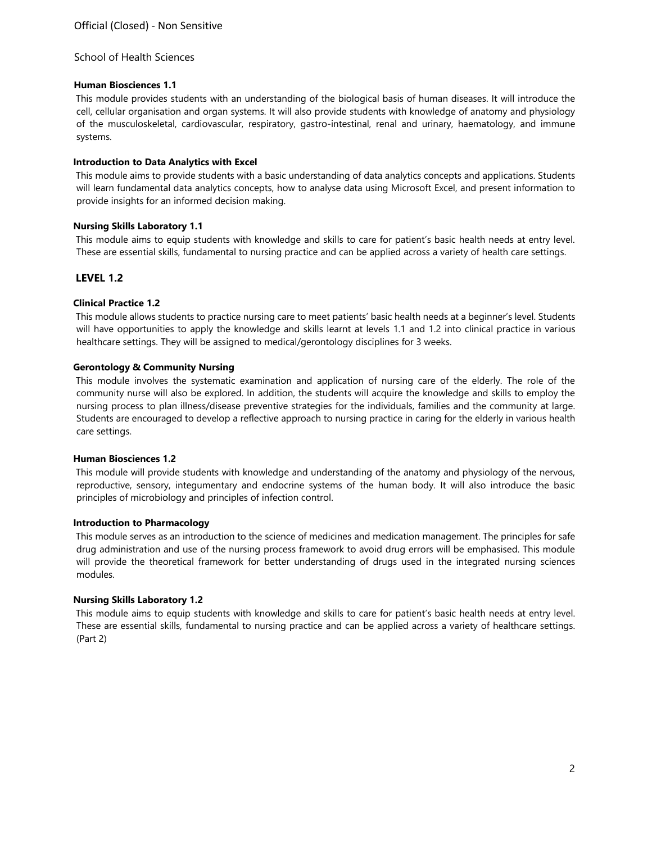## **Human Biosciences 1.1**

This module provides students with an understanding of the biological basis of human diseases. It will introduce the cell, cellular organisation and organ systems. It will also provide students with knowledge of anatomy and physiology of the musculoskeletal, cardiovascular, respiratory, gastro-intestinal, renal and urinary, haematology, and immune systems.

## **Introduction to Data Analytics with Excel**

This module aims to provide students with a basic understanding of data analytics concepts and applications. Students will learn fundamental data analytics concepts, how to analyse data using Microsoft Excel, and present information to provide insights for an informed decision making.

## **Nursing Skills Laboratory 1.1**

This module aims to equip students with knowledge and skills to care for patient's basic health needs at entry level. These are essential skills, fundamental to nursing practice and can be applied across a variety of health care settings.

## **LEVEL 1.2**

## **Clinical Practice 1.2**

This module allows students to practice nursing care to meet patients' basic health needs at a beginner's level. Students will have opportunities to apply the knowledge and skills learnt at levels 1.1 and 1.2 into clinical practice in various healthcare settings. They will be assigned to medical/gerontology disciplines for 3 weeks.

## **Gerontology & Community Nursing**

This module involves the systematic examination and application of nursing care of the elderly. The role of the community nurse will also be explored. In addition, the students will acquire the knowledge and skills to employ the nursing process to plan illness/disease preventive strategies for the individuals, families and the community at large. Students are encouraged to develop a reflective approach to nursing practice in caring for the elderly in various health care settings.

## **Human Biosciences 1.2**

This module will provide students with knowledge and understanding of the anatomy and physiology of the nervous, reproductive, sensory, integumentary and endocrine systems of the human body. It will also introduce the basic principles of microbiology and principles of infection control.

## **Introduction to Pharmacology**

This module serves as an introduction to the science of medicines and medication management. The principles for safe drug administration and use of the nursing process framework to avoid drug errors will be emphasised. This module will provide the theoretical framework for better understanding of drugs used in the integrated nursing sciences modules.

## **Nursing Skills Laboratory 1.2**

This module aims to equip students with knowledge and skills to care for patient's basic health needs at entry level. These are essential skills, fundamental to nursing practice and can be applied across a variety of healthcare settings. (Part 2)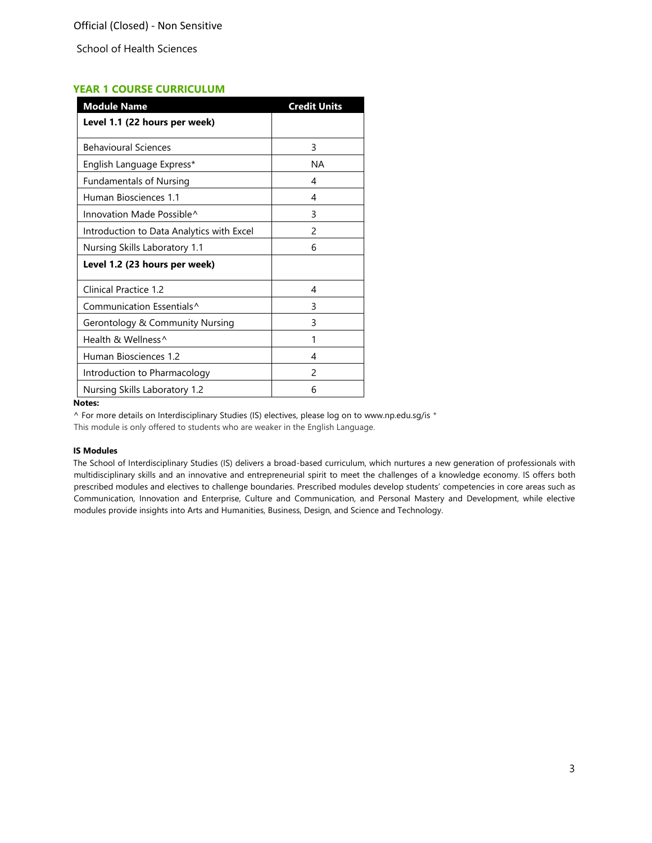## **YEAR 1 COURSE CURRICULUM**

| <b>Module Name</b>                        | <b>Credit Units</b> |
|-------------------------------------------|---------------------|
| Level 1.1 (22 hours per week)             |                     |
| <b>Behavioural Sciences</b>               | 3                   |
| English Language Express*                 | <b>NA</b>           |
| <b>Fundamentals of Nursing</b>            | 4                   |
| Human Biosciences 1.1                     | 4                   |
| Innovation Made Possible <sup>^</sup>     | 3                   |
| Introduction to Data Analytics with Excel | $\mathcal{P}$       |
| Nursing Skills Laboratory 1.1             | 6                   |
| Level 1.2 (23 hours per week)             |                     |
| Clinical Practice 1.2                     | 4                   |
| Communication Essentials <sup>^</sup>     | 3                   |
| Gerontology & Community Nursing           | 3                   |
| Health & Wellness^                        | 1                   |
| Human Biosciences 1.2                     | 4                   |
| Introduction to Pharmacology              | $\mathcal{P}$       |
| Nursing Skills Laboratory 1.2             | 6                   |

#### **Notes:**

^ For more details on Interdisciplinary Studies (IS) electives, please log on to www.np.edu.sg/is \*

This module is only offered to students who are weaker in the English Language.

## **IS Modules**

The School of Interdisciplinary Studies (IS) delivers a broad-based curriculum, which nurtures a new generation of professionals with multidisciplinary skills and an innovative and entrepreneurial spirit to meet the challenges of a knowledge economy. IS offers both prescribed modules and electives to challenge boundaries. Prescribed modules develop students' competencies in core areas such as Communication, Innovation and Enterprise, Culture and Communication, and Personal Mastery and Development, while elective modules provide insights into Arts and Humanities, Business, Design, and Science and Technology.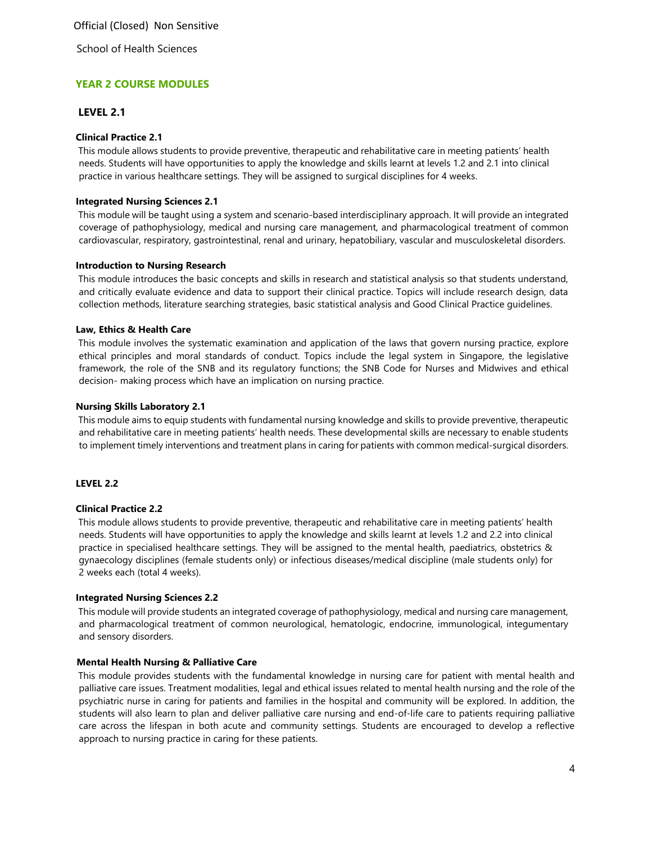Official (Closed) Non Sensitive

School of Health Sciences

## **YEAR 2 COURSE MODULES**

## **LEVEL 2.1**

## **Clinical Practice 2.1**

This module allows students to provide preventive, therapeutic and rehabilitative care in meeting patients' health needs. Students will have opportunities to apply the knowledge and skills learnt at levels 1.2 and 2.1 into clinical practice in various healthcare settings. They will be assigned to surgical disciplines for 4 weeks.

#### **Integrated Nursing Sciences 2.1**

This module will be taught using a system and scenario-based interdisciplinary approach. It will provide an integrated coverage of pathophysiology, medical and nursing care management, and pharmacological treatment of common cardiovascular, respiratory, gastrointestinal, renal and urinary, hepatobiliary, vascular and musculoskeletal disorders.

#### **Introduction to Nursing Research**

This module introduces the basic concepts and skills in research and statistical analysis so that students understand, and critically evaluate evidence and data to support their clinical practice. Topics will include research design, data collection methods, literature searching strategies, basic statistical analysis and Good Clinical Practice guidelines.

#### **Law, Ethics & Health Care**

This module involves the systematic examination and application of the laws that govern nursing practice, explore ethical principles and moral standards of conduct. Topics include the legal system in Singapore, the legislative framework, the role of the SNB and its regulatory functions; the SNB Code for Nurses and Midwives and ethical decision- making process which have an implication on nursing practice.

#### **Nursing Skills Laboratory 2.1**

This module aims to equip students with fundamental nursing knowledge and skills to provide preventive, therapeutic and rehabilitative care in meeting patients' health needs. These developmental skills are necessary to enable students to implement timely interventions and treatment plans in caring for patients with common medical-surgical disorders.

## **LEVEL 2.2**

#### **Clinical Practice 2.2**

This module allows students to provide preventive, therapeutic and rehabilitative care in meeting patients' health needs. Students will have opportunities to apply the knowledge and skills learnt at levels 1.2 and 2.2 into clinical practice in specialised healthcare settings. They will be assigned to the mental health, paediatrics, obstetrics & gynaecology disciplines (female students only) or infectious diseases/medical discipline (male students only) for 2 weeks each (total 4 weeks).

## **Integrated Nursing Sciences 2.2**

This module will provide students an integrated coverage of pathophysiology, medical and nursing care management, and pharmacological treatment of common neurological, hematologic, endocrine, immunological, integumentary and sensory disorders.

## **Mental Health Nursing & Palliative Care**

This module provides students with the fundamental knowledge in nursing care for patient with mental health and palliative care issues. Treatment modalities, legal and ethical issues related to mental health nursing and the role of the psychiatric nurse in caring for patients and families in the hospital and community will be explored. In addition, the students will also learn to plan and deliver palliative care nursing and end-of-life care to patients requiring palliative care across the lifespan in both acute and community settings. Students are encouraged to develop a reflective approach to nursing practice in caring for these patients.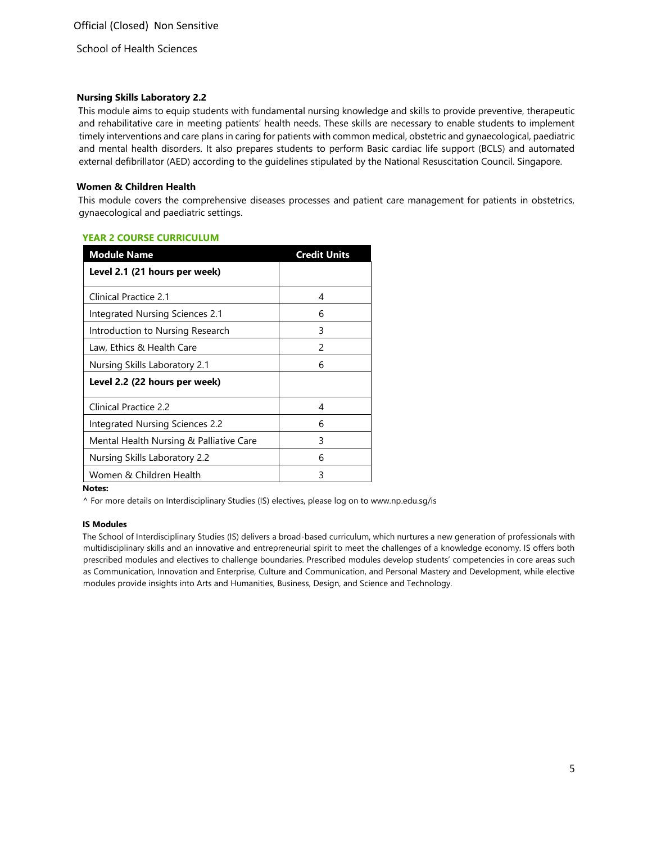## **Nursing Skills Laboratory 2.2**

This module aims to equip students with fundamental nursing knowledge and skills to provide preventive, therapeutic and rehabilitative care in meeting patients' health needs. These skills are necessary to enable students to implement timely interventions and care plans in caring for patients with common medical, obstetric and gynaecological, paediatric and mental health disorders. It also prepares students to perform Basic cardiac life support (BCLS) and automated external defibrillator (AED) according to the guidelines stipulated by the National Resuscitation Council. Singapore.

## **Women & Children Health**

This module covers the comprehensive diseases processes and patient care management for patients in obstetrics, gynaecological and paediatric settings.

## **YEAR 2 COURSE CURRICULUM**

| <b>Module Name</b>                      | <b>Credit Units</b> |
|-----------------------------------------|---------------------|
| Level 2.1 (21 hours per week)           |                     |
| Clinical Practice 2.1                   | 4                   |
| Integrated Nursing Sciences 2.1         | 6                   |
| Introduction to Nursing Research        | 3                   |
| Law, Ethics & Health Care               | 2                   |
| Nursing Skills Laboratory 2.1           | 6                   |
| Level 2.2 (22 hours per week)           |                     |
| Clinical Practice 2.2                   | 4                   |
| <b>Integrated Nursing Sciences 2.2</b>  | 6                   |
| Mental Health Nursing & Palliative Care | 3                   |
| Nursing Skills Laboratory 2.2           | 6                   |
| Women & Children Health                 | 3                   |

**Notes:** 

^ For more details on Interdisciplinary Studies (IS) electives, please log on to www.np.edu.sg/is

#### **IS Modules**

The School of Interdisciplinary Studies (IS) delivers a broad-based curriculum, which nurtures a new generation of professionals with multidisciplinary skills and an innovative and entrepreneurial spirit to meet the challenges of a knowledge economy. IS offers both prescribed modules and electives to challenge boundaries. Prescribed modules develop students' competencies in core areas such as Communication, Innovation and Enterprise, Culture and Communication, and Personal Mastery and Development, while elective modules provide insights into Arts and Humanities, Business, Design, and Science and Technology.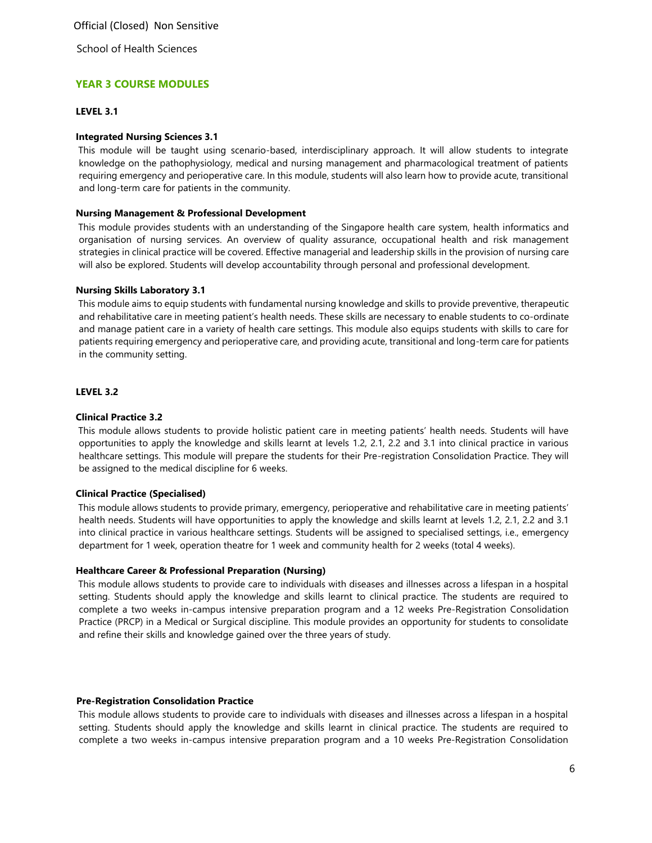Official (Closed) Non Sensitive

School of Health Sciences

## **YEAR 3 COURSE MODULES**

## **LEVEL 3.1**

#### **Integrated Nursing Sciences 3.1**

This module will be taught using scenario-based, interdisciplinary approach. It will allow students to integrate knowledge on the pathophysiology, medical and nursing management and pharmacological treatment of patients requiring emergency and perioperative care. In this module, students will also learn how to provide acute, transitional and long-term care for patients in the community.

#### **Nursing Management & Professional Development**

This module provides students with an understanding of the Singapore health care system, health informatics and organisation of nursing services. An overview of quality assurance, occupational health and risk management strategies in clinical practice will be covered. Effective managerial and leadership skills in the provision of nursing care will also be explored. Students will develop accountability through personal and professional development.

#### **Nursing Skills Laboratory 3.1**

This module aims to equip students with fundamental nursing knowledge and skills to provide preventive, therapeutic and rehabilitative care in meeting patient's health needs. These skills are necessary to enable students to co-ordinate and manage patient care in a variety of health care settings. This module also equips students with skills to care for patients requiring emergency and perioperative care, and providing acute, transitional and long-term care for patients in the community setting.

## **LEVEL 3.2**

## **Clinical Practice 3.2**

This module allows students to provide holistic patient care in meeting patients' health needs. Students will have opportunities to apply the knowledge and skills learnt at levels 1.2, 2.1, 2.2 and 3.1 into clinical practice in various healthcare settings. This module will prepare the students for their Pre-registration Consolidation Practice. They will be assigned to the medical discipline for 6 weeks.

#### **Clinical Practice (Specialised)**

This module allows students to provide primary, emergency, perioperative and rehabilitative care in meeting patients' health needs. Students will have opportunities to apply the knowledge and skills learnt at levels 1.2, 2.1, 2.2 and 3.1 into clinical practice in various healthcare settings. Students will be assigned to specialised settings, i.e., emergency department for 1 week, operation theatre for 1 week and community health for 2 weeks (total 4 weeks).

## **Healthcare Career & Professional Preparation (Nursing)**

This module allows students to provide care to individuals with diseases and illnesses across a lifespan in a hospital setting. Students should apply the knowledge and skills learnt to clinical practice. The students are required to complete a two weeks in-campus intensive preparation program and a 12 weeks Pre-Registration Consolidation Practice (PRCP) in a Medical or Surgical discipline. This module provides an opportunity for students to consolidate and refine their skills and knowledge gained over the three years of study.

#### **Pre-Registration Consolidation Practice**

This module allows students to provide care to individuals with diseases and illnesses across a lifespan in a hospital setting. Students should apply the knowledge and skills learnt in clinical practice. The students are required to complete a two weeks in-campus intensive preparation program and a 10 weeks Pre-Registration Consolidation